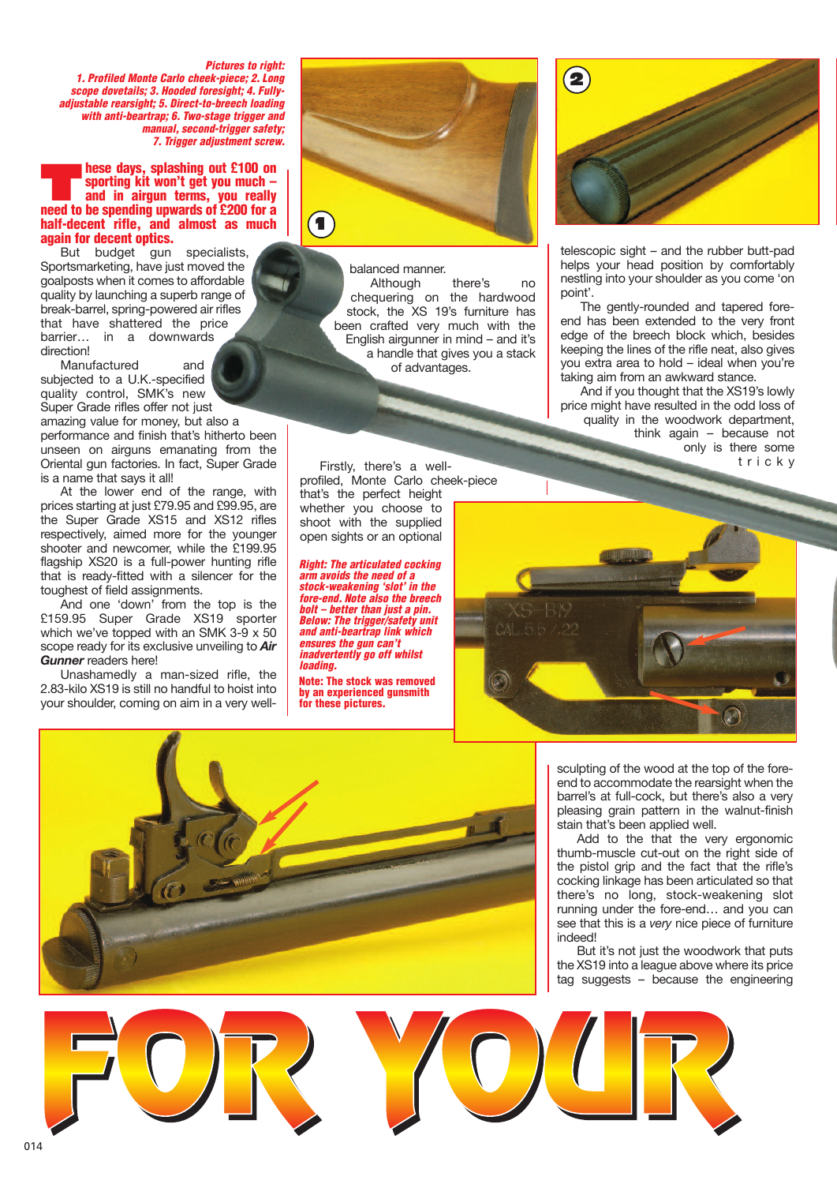*Pictures to right: 1. Profiled Monte Carlo cheek-piece; 2. Long scope dovetails; 3. Hooded foresight; 4. Fullyadjustable rearsight; 5. Direct-to-breech loading with anti-beartrap; 6. Two-stage trigger and manual, second-trigger safety; 7. Trigger adjustment screw.*

## **These days, splashing out £100 on**<br> **and in airgun terms, you really**<br> **and in airgun terms**, **you really sporting kit won't get you much – need to be spending upwards of £200 for a half-decent rifle, and almost as much again for decent optics.**

But budget gun specialists, Sportsmarketing, have just moved the goalposts when it comes to affordable quality by launching a superb range of break-barrel, spring-powered air rifles that have shattered the price barrier… in a downwards direction!

Manufactured and subjected to a U.K.-specified quality control, SMK's new Super Grade rifles offer not just amazing value for money, but also a performance and finish that's hitherto been unseen on airguns emanating from the Oriental gun factories. In fact, Super Grade

is a name that says it all! At the lower end of the range, with prices starting at just £79.95 and £99.95, are the Super Grade XS15 and XS12 rifles respectively, aimed more for the younger shooter and newcomer, while the £199.95 flagship XS20 is a full-power hunting rifle that is ready-fitted with a silencer for the toughest of field assignments.

And one 'down' from the top is the £159.95 Super Grade XS19 sporter which we've topped with an SMK 3-9 x 50 scope ready for its exclusive unveiling to *Air Gunner* readers here!

Unashamedly a man-sized rifle, the 2.83-kilo XS19 is still no handful to hoist into your shoulder, coming on aim in a very well-



balanced manner. Although there's no chequering on the hardwood stock, the XS 19's furniture has been crafted very much with the English airgunner in mind – and it's a handle that gives you a stack of advantages.

Firstly, there's a wellprofiled, Monte Carlo cheek-piece that's the perfect height whether you choose to shoot with the supplied open sights or an optional

*Right: The articulated cocking arm avoids the need of a stock-weakening 'slot' in the fore-end. Note also the breech bolt – better than just a pin. Below: The trigger/safety unit and anti-beartrap link which ensures the gun can't inadvertently go off whilst loading.*

**Note: The stock was removed by an experienced gunsmith for these pictures.**



telescopic sight – and the rubber butt-pad helps your head position by comfortably nestling into your shoulder as you come 'on point'.

The gently-rounded and tapered foreend has been extended to the very front edge of the breech block which, besides keeping the lines of the rifle neat, also gives you extra area to hold – ideal when you're taking aim from an awkward stance.

And if you thought that the XS19's lowly price might have resulted in the odd loss of quality in the woodwork department, think again – because not only is there some t r i c k y





sculpting of the wood at the top of the foreend to accommodate the rearsight when the barrel's at full-cock, but there's also a very pleasing grain pattern in the walnut-finish stain that's been applied well.

Add to the that the very ergonomic thumb-muscle cut-out on the right side of the pistol grip and the fact that the rifle's cocking linkage has been articulated so that there's no long, stock-weakening slot running under the fore-end… and you can see that this is a *very* nice piece of furniture indeed!

But it's not just the woodwork that puts the XS19 into a league above where its price tag suggests – because the engineering